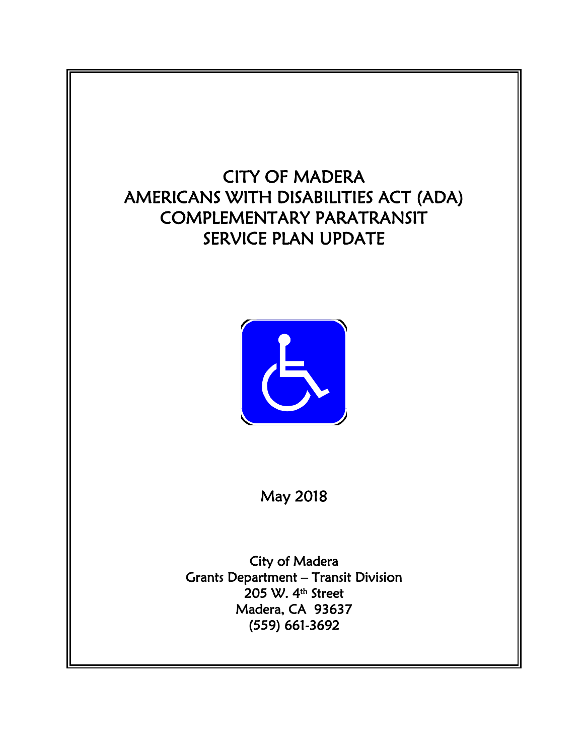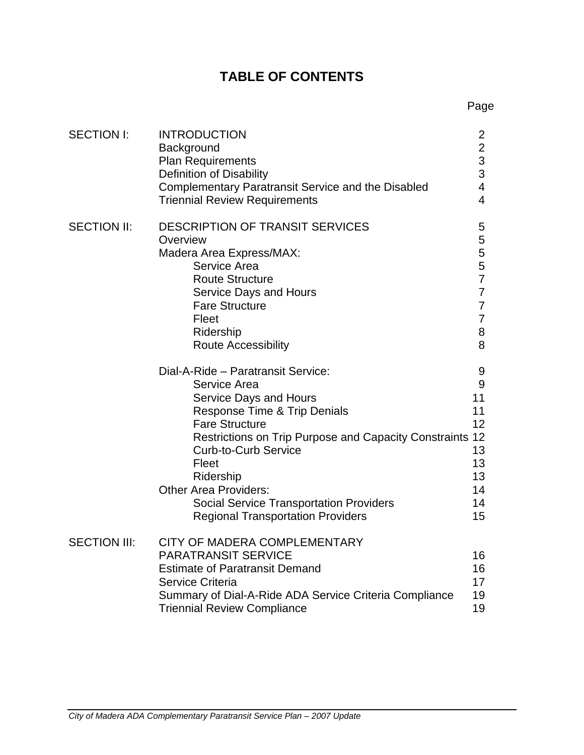# **TABLE OF CONTENTS**

Page

| <b>SECTION I:</b>   | <b>INTRODUCTION</b><br>Background<br><b>Plan Requirements</b><br>Definition of Disability<br><b>Complementary Paratransit Service and the Disabled</b><br><b>Triennial Review Requirements</b>                                                                                                                                                                                              | $\overline{2}$<br>$\begin{array}{c} 2 \\ 3 \\ 3 \end{array}$<br>$\overline{\mathbf{4}}$<br>$\overline{4}$ |
|---------------------|---------------------------------------------------------------------------------------------------------------------------------------------------------------------------------------------------------------------------------------------------------------------------------------------------------------------------------------------------------------------------------------------|-----------------------------------------------------------------------------------------------------------|
| <b>SECTION II:</b>  | <b>DESCRIPTION OF TRANSIT SERVICES</b><br>Overview<br>Madera Area Express/MAX:<br>Service Area<br><b>Route Structure</b><br><b>Service Days and Hours</b><br><b>Fare Structure</b><br>Fleet<br>Ridership<br><b>Route Accessibility</b>                                                                                                                                                      | 5<br>5<br>5<br>5<br>$\overline{7}$<br>$\overline{7}$<br>$\overline{7}$<br>$\overline{7}$<br>8<br>8        |
|                     | Dial-A-Ride - Paratransit Service:<br>Service Area<br><b>Service Days and Hours</b><br>Response Time & Trip Denials<br><b>Fare Structure</b><br>Restrictions on Trip Purpose and Capacity Constraints 12<br><b>Curb-to-Curb Service</b><br>Fleet<br>Ridership<br><b>Other Area Providers:</b><br><b>Social Service Transportation Providers</b><br><b>Regional Transportation Providers</b> | 9<br>9<br>11<br>11<br>12<br>13<br>13<br>13<br>14<br>14<br>15                                              |
| <b>SECTION III:</b> | CITY OF MADERA COMPLEMENTARY<br><b>PARATRANSIT SERVICE</b><br><b>Estimate of Paratransit Demand</b><br><b>Service Criteria</b><br>Summary of Dial-A-Ride ADA Service Criteria Compliance<br><b>Triennial Review Compliance</b>                                                                                                                                                              | 16<br>16<br>17<br>19<br>19                                                                                |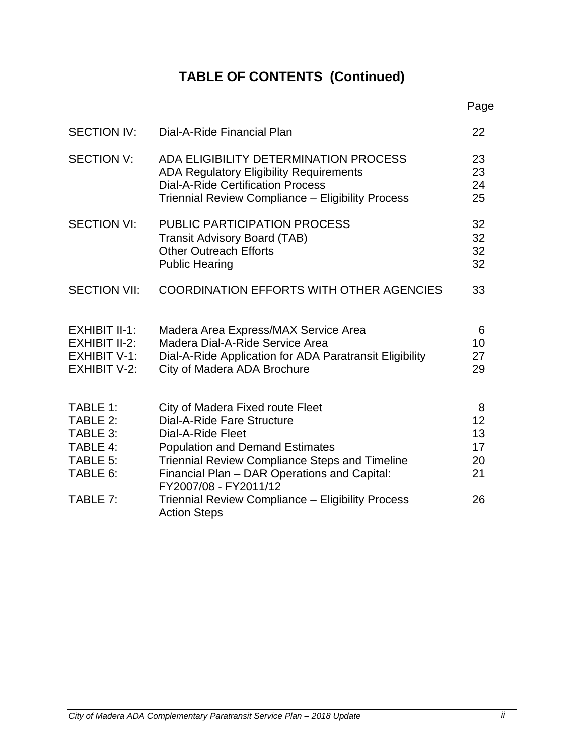# **TABLE OF CONTENTS (Continued)**

|                                                                              |                                                                                                                                                                                                                                                                 | Page                            |
|------------------------------------------------------------------------------|-----------------------------------------------------------------------------------------------------------------------------------------------------------------------------------------------------------------------------------------------------------------|---------------------------------|
| <b>SECTION IV:</b>                                                           | Dial-A-Ride Financial Plan                                                                                                                                                                                                                                      | 22                              |
| <b>SECTION V:</b>                                                            | ADA ELIGIBILITY DETERMINATION PROCESS<br><b>ADA Regulatory Eligibility Requirements</b><br><b>Dial-A-Ride Certification Process</b><br>Triennial Review Compliance - Eligibility Process                                                                        | 23<br>23<br>24<br>25            |
| <b>SECTION VI:</b>                                                           | <b>PUBLIC PARTICIPATION PROCESS</b><br><b>Transit Advisory Board (TAB)</b><br><b>Other Outreach Efforts</b><br><b>Public Hearing</b>                                                                                                                            | 32<br>32<br>32<br>32            |
| <b>SECTION VII:</b>                                                          | <b>COORDINATION EFFORTS WITH OTHER AGENCIES</b>                                                                                                                                                                                                                 | 33                              |
| EXHIBIT II-1:<br>EXHIBIT II-2:<br><b>EXHIBIT V-1:</b><br><b>EXHIBIT V-2:</b> | Madera Area Express/MAX Service Area<br>Madera Dial-A-Ride Service Area<br>Dial-A-Ride Application for ADA Paratransit Eligibility<br>City of Madera ADA Brochure                                                                                               | 6<br>10<br>27<br>29             |
| TABLE 1:<br>TABLE 2:<br>TABLE 3:<br>TABLE 4:<br>TABLE 5:<br>TABLE 6:         | City of Madera Fixed route Fleet<br>Dial-A-Ride Fare Structure<br>Dial-A-Ride Fleet<br><b>Population and Demand Estimates</b><br><b>Triennial Review Compliance Steps and Timeline</b><br>Financial Plan - DAR Operations and Capital:<br>FY2007/08 - FY2011/12 | 8<br>12<br>13<br>17<br>20<br>21 |
| TABLE 7:                                                                     | Triennial Review Compliance - Eligibility Process<br><b>Action Steps</b>                                                                                                                                                                                        | 26                              |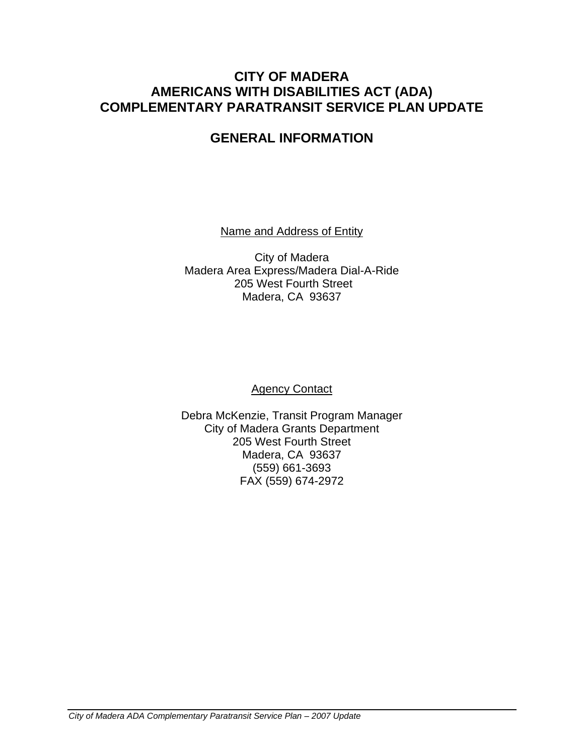# **CITY OF MADERA AMERICANS WITH DISABILITIES ACT (ADA) COMPLEMENTARY PARATRANSIT SERVICE PLAN UPDATE**

# **GENERAL INFORMATION**

Name and Address of Entity

City of Madera Madera Area Express/Madera Dial-A-Ride 205 West Fourth Street Madera, CA 93637

Agency Contact

Debra McKenzie, Transit Program Manager City of Madera Grants Department 205 West Fourth Street Madera, CA 93637 (559) 661-3693 FAX (559) 674-2972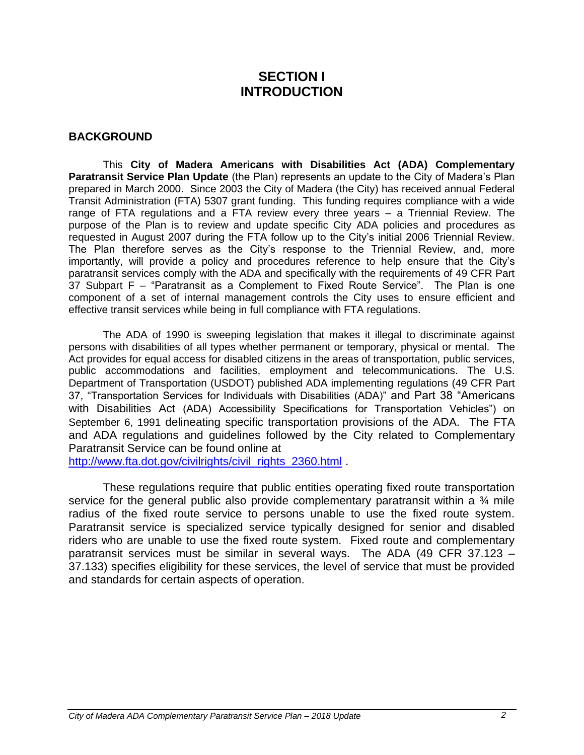# **SECTION I INTRODUCTION**

#### **BACKGROUND**

This **City of Madera Americans with Disabilities Act (ADA) Complementary Paratransit Service Plan Update** (the Plan) represents an update to the City of Madera's Plan prepared in March 2000. Since 2003 the City of Madera (the City) has received annual Federal Transit Administration (FTA) 5307 grant funding. This funding requires compliance with a wide range of FTA regulations and a FTA review every three years – a Triennial Review. The purpose of the Plan is to review and update specific City ADA policies and procedures as requested in August 2007 during the FTA follow up to the City's initial 2006 Triennial Review. The Plan therefore serves as the City's response to the Triennial Review, and, more importantly, will provide a policy and procedures reference to help ensure that the City's paratransit services comply with the ADA and specifically with the requirements of 49 CFR Part 37 Subpart F – "Paratransit as a Complement to Fixed Route Service". The Plan is one component of a set of internal management controls the City uses to ensure efficient and effective transit services while being in full compliance with FTA regulations.

The ADA of 1990 is sweeping legislation that makes it illegal to discriminate against persons with disabilities of all types whether permanent or temporary, physical or mental. The Act provides for equal access for disabled citizens in the areas of transportation, public services, public accommodations and facilities, employment and telecommunications. The U.S. Department of Transportation (USDOT) published ADA implementing regulations (49 CFR Part 37, "Transportation Services for Individuals with Disabilities (ADA)" and Part 38 "Americans with Disabilities Act (ADA) Accessibility Specifications for Transportation Vehicles") on September 6, 1991 delineating specific transportation provisions of the ADA. The FTA and ADA regulations and guidelines followed by the City related to Complementary Paratransit Service can be found online at

[http://www.fta.dot.gov/civilrights/civil\\_rights\\_2360.html](http://www.fta.dot.gov/civilrights/civil_rights_2360.html)

These regulations require that public entities operating fixed route transportation service for the general public also provide complementary paratransit within a  $\frac{3}{4}$  mile radius of the fixed route service to persons unable to use the fixed route system. Paratransit service is specialized service typically designed for senior and disabled riders who are unable to use the fixed route system. Fixed route and complementary paratransit services must be similar in several ways. The ADA (49 CFR 37.123 – 37.133) specifies eligibility for these services, the level of service that must be provided and standards for certain aspects of operation.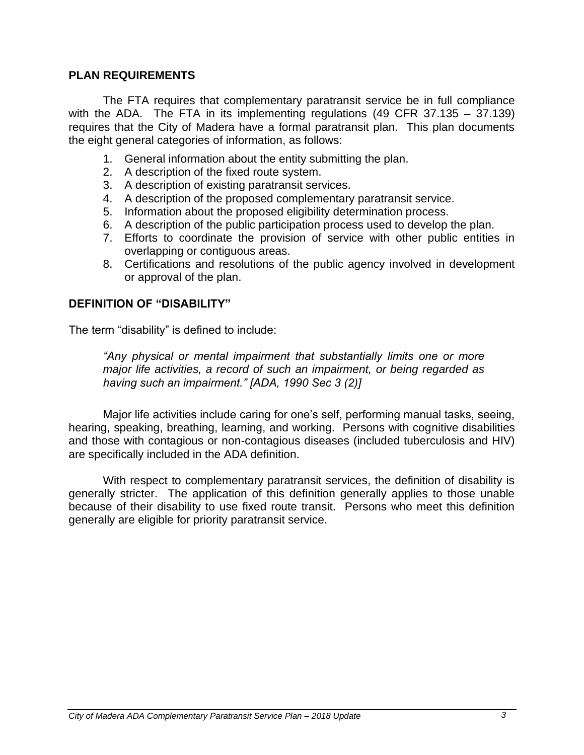#### **PLAN REQUIREMENTS**

The FTA requires that complementary paratransit service be in full compliance with the ADA. The FTA in its implementing regulations (49 CFR 37.135 – 37.139) requires that the City of Madera have a formal paratransit plan. This plan documents the eight general categories of information, as follows:

- 1. General information about the entity submitting the plan.
- 2. A description of the fixed route system.
- 3. A description of existing paratransit services.
- 4. A description of the proposed complementary paratransit service.
- 5. Information about the proposed eligibility determination process.
- 6. A description of the public participation process used to develop the plan.
- 7. Efforts to coordinate the provision of service with other public entities in overlapping or contiguous areas.
- 8. Certifications and resolutions of the public agency involved in development or approval of the plan.

#### **DEFINITION OF "DISABILITY"**

The term "disability" is defined to include:

*"Any physical or mental impairment that substantially limits one or more major life activities, a record of such an impairment, or being regarded as having such an impairment." [ADA, 1990 Sec 3 (2)]*

Major life activities include caring for one's self, performing manual tasks, seeing, hearing, speaking, breathing, learning, and working. Persons with cognitive disabilities and those with contagious or non-contagious diseases (included tuberculosis and HIV) are specifically included in the ADA definition.

With respect to complementary paratransit services, the definition of disability is generally stricter. The application of this definition generally applies to those unable because of their disability to use fixed route transit. Persons who meet this definition generally are eligible for priority paratransit service.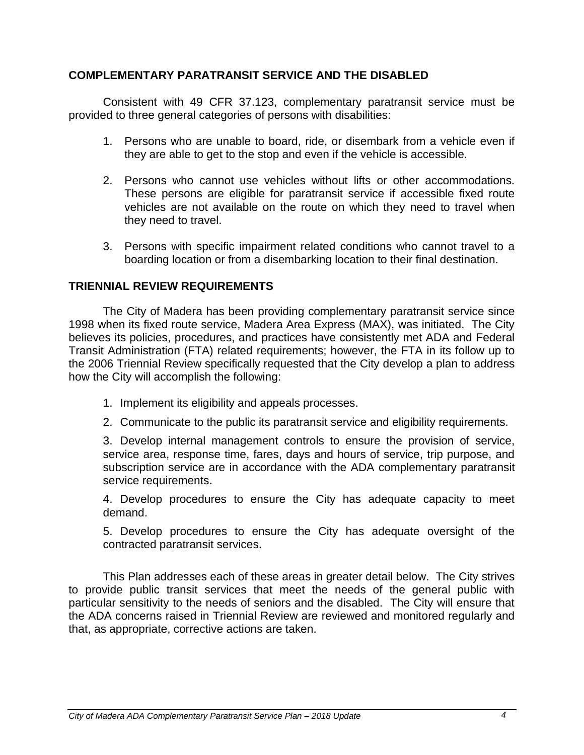# **COMPLEMENTARY PARATRANSIT SERVICE AND THE DISABLED**

Consistent with 49 CFR 37.123, complementary paratransit service must be provided to three general categories of persons with disabilities:

- 1. Persons who are unable to board, ride, or disembark from a vehicle even if they are able to get to the stop and even if the vehicle is accessible.
- 2. Persons who cannot use vehicles without lifts or other accommodations. These persons are eligible for paratransit service if accessible fixed route vehicles are not available on the route on which they need to travel when they need to travel.
- 3. Persons with specific impairment related conditions who cannot travel to a boarding location or from a disembarking location to their final destination.

# **TRIENNIAL REVIEW REQUIREMENTS**

The City of Madera has been providing complementary paratransit service since 1998 when its fixed route service, Madera Area Express (MAX), was initiated. The City believes its policies, procedures, and practices have consistently met ADA and Federal Transit Administration (FTA) related requirements; however, the FTA in its follow up to the 2006 Triennial Review specifically requested that the City develop a plan to address how the City will accomplish the following:

- 1. Implement its eligibility and appeals processes.
- 2. Communicate to the public its paratransit service and eligibility requirements.

3. Develop internal management controls to ensure the provision of service, service area, response time, fares, days and hours of service, trip purpose, and subscription service are in accordance with the ADA complementary paratransit service requirements.

4. Develop procedures to ensure the City has adequate capacity to meet demand.

5. Develop procedures to ensure the City has adequate oversight of the contracted paratransit services.

This Plan addresses each of these areas in greater detail below. The City strives to provide public transit services that meet the needs of the general public with particular sensitivity to the needs of seniors and the disabled. The City will ensure that the ADA concerns raised in Triennial Review are reviewed and monitored regularly and that, as appropriate, corrective actions are taken.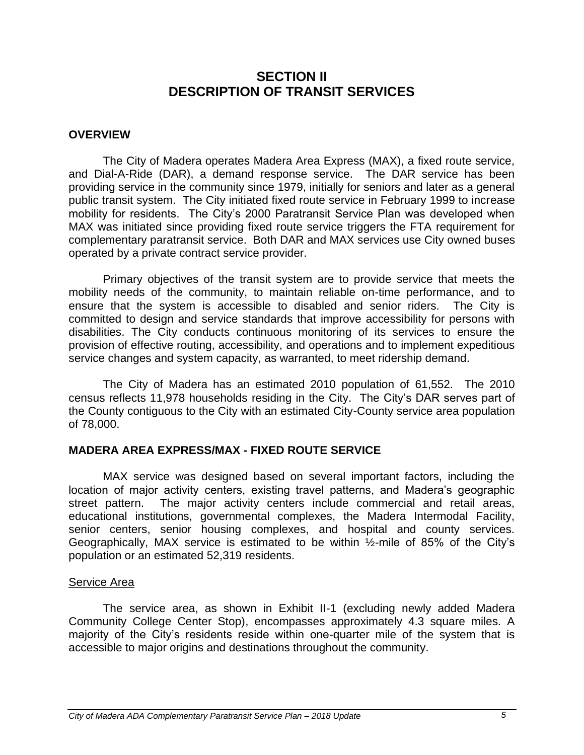# **SECTION II DESCRIPTION OF TRANSIT SERVICES**

#### **OVERVIEW**

The City of Madera operates Madera Area Express (MAX), a fixed route service, and Dial-A-Ride (DAR), a demand response service. The DAR service has been providing service in the community since 1979, initially for seniors and later as a general public transit system. The City initiated fixed route service in February 1999 to increase mobility for residents. The City's 2000 Paratransit Service Plan was developed when MAX was initiated since providing fixed route service triggers the FTA requirement for complementary paratransit service. Both DAR and MAX services use City owned buses operated by a private contract service provider.

Primary objectives of the transit system are to provide service that meets the mobility needs of the community, to maintain reliable on-time performance, and to ensure that the system is accessible to disabled and senior riders. The City is committed to design and service standards that improve accessibility for persons with disabilities. The City conducts continuous monitoring of its services to ensure the provision of effective routing, accessibility, and operations and to implement expeditious service changes and system capacity, as warranted, to meet ridership demand.

The City of Madera has an estimated 2010 population of 61,552. The 2010 census reflects 11,978 households residing in the City. The City's DAR serves part of the County contiguous to the City with an estimated City-County service area population of 78,000.

#### **MADERA AREA EXPRESS/MAX - FIXED ROUTE SERVICE**

MAX service was designed based on several important factors, including the location of major activity centers, existing travel patterns, and Madera's geographic street pattern. The major activity centers include commercial and retail areas, educational institutions, governmental complexes, the Madera Intermodal Facility, senior centers, senior housing complexes, and hospital and county services. Geographically, MAX service is estimated to be within ½-mile of 85% of the City's population or an estimated 52,319 residents.

#### Service Area

The service area, as shown in Exhibit II-1 (excluding newly added Madera Community College Center Stop), encompasses approximately 4.3 square miles. A majority of the City's residents reside within one-quarter mile of the system that is accessible to major origins and destinations throughout the community.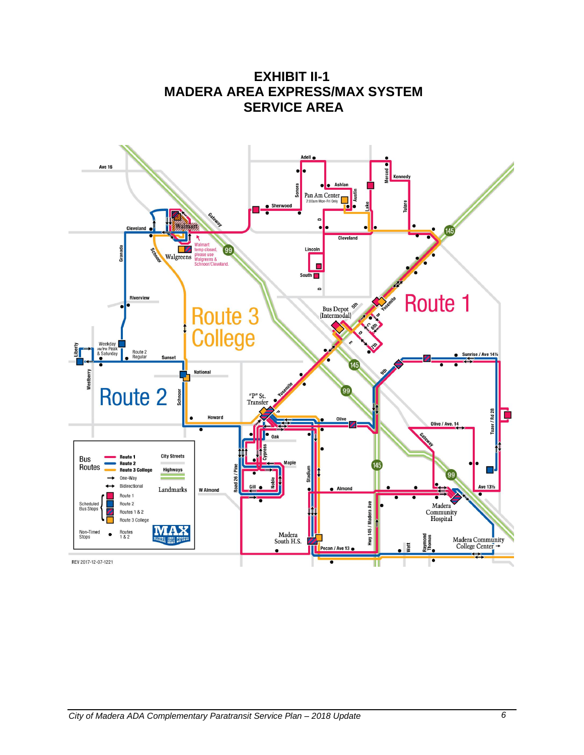

**EXHIBIT II-1 MADERA AREA EXPRESS/MAX SYSTEM SERVICE AREA**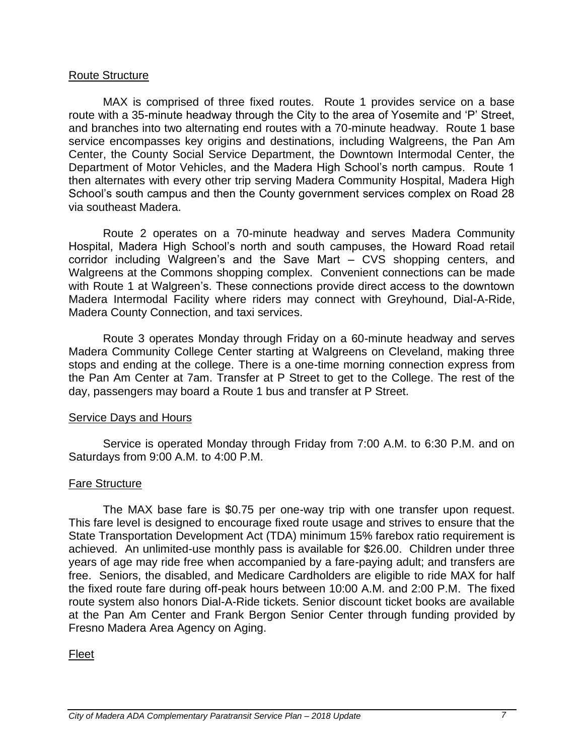#### Route Structure

MAX is comprised of three fixed routes. Route 1 provides service on a base route with a 35-minute headway through the City to the area of Yosemite and 'P' Street, and branches into two alternating end routes with a 70-minute headway. Route 1 base service encompasses key origins and destinations, including Walgreens, the Pan Am Center, the County Social Service Department, the Downtown Intermodal Center, the Department of Motor Vehicles, and the Madera High School's north campus. Route 1 then alternates with every other trip serving Madera Community Hospital, Madera High School's south campus and then the County government services complex on Road 28 via southeast Madera.

Route 2 operates on a 70-minute headway and serves Madera Community Hospital, Madera High School's north and south campuses, the Howard Road retail corridor including Walgreen's and the Save Mart – CVS shopping centers, and Walgreens at the Commons shopping complex. Convenient connections can be made with Route 1 at Walgreen's. These connections provide direct access to the downtown Madera Intermodal Facility where riders may connect with Greyhound, Dial-A-Ride, Madera County Connection, and taxi services.

Route 3 operates Monday through Friday on a 60-minute headway and serves Madera Community College Center starting at Walgreens on Cleveland, making three stops and ending at the college. There is a one-time morning connection express from the Pan Am Center at 7am. Transfer at P Street to get to the College. The rest of the day, passengers may board a Route 1 bus and transfer at P Street.

#### Service Days and Hours

Service is operated Monday through Friday from 7:00 A.M. to 6:30 P.M. and on Saturdays from 9:00 A.M. to 4:00 P.M.

# Fare Structure

The MAX base fare is \$0.75 per one-way trip with one transfer upon request. This fare level is designed to encourage fixed route usage and strives to ensure that the State Transportation Development Act (TDA) minimum 15% farebox ratio requirement is achieved. An unlimited-use monthly pass is available for \$26.00. Children under three years of age may ride free when accompanied by a fare-paying adult; and transfers are free. Seniors, the disabled, and Medicare Cardholders are eligible to ride MAX for half the fixed route fare during off-peak hours between 10:00 A.M. and 2:00 P.M. The fixed route system also honors Dial-A-Ride tickets. Senior discount ticket books are available at the Pan Am Center and Frank Bergon Senior Center through funding provided by Fresno Madera Area Agency on Aging.

# Fleet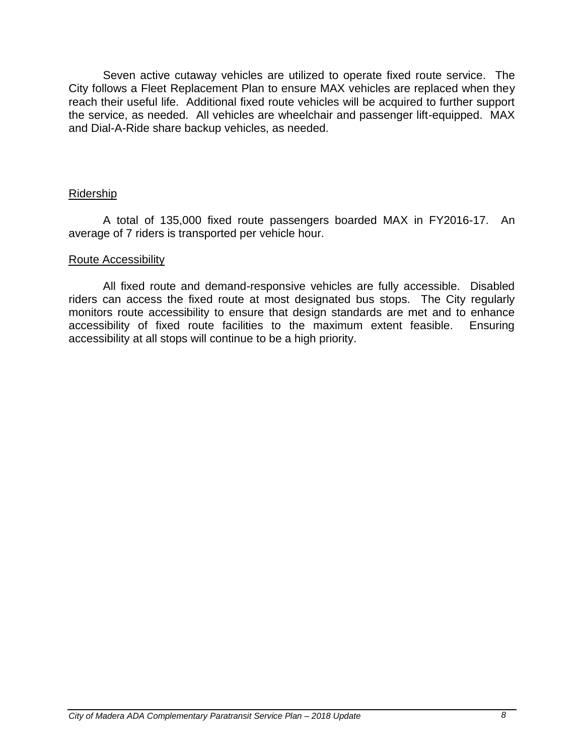Seven active cutaway vehicles are utilized to operate fixed route service. The City follows a Fleet Replacement Plan to ensure MAX vehicles are replaced when they reach their useful life. Additional fixed route vehicles will be acquired to further support the service, as needed. All vehicles are wheelchair and passenger lift-equipped. MAX and Dial-A-Ride share backup vehicles, as needed.

# Ridership

A total of 135,000 fixed route passengers boarded MAX in FY2016-17. An average of 7 riders is transported per vehicle hour.

#### Route Accessibility

All fixed route and demand-responsive vehicles are fully accessible. Disabled riders can access the fixed route at most designated bus stops. The City regularly monitors route accessibility to ensure that design standards are met and to enhance accessibility of fixed route facilities to the maximum extent feasible. Ensuring accessibility at all stops will continue to be a high priority.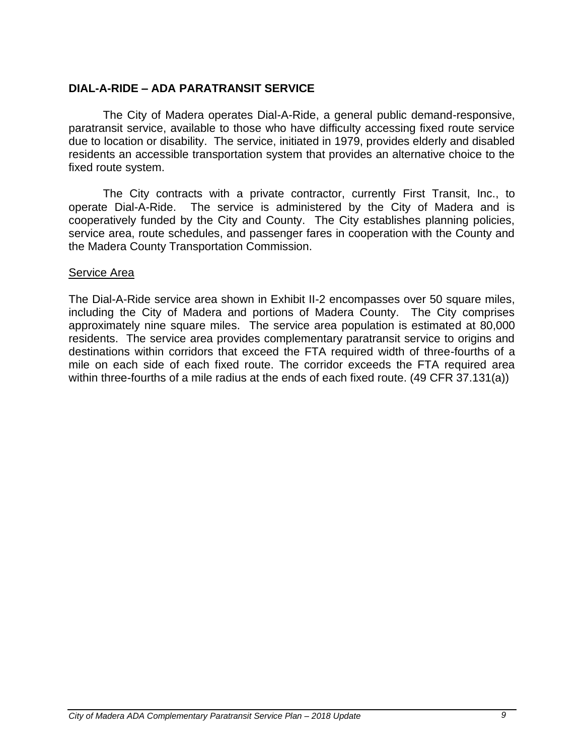# **DIAL-A-RIDE – ADA PARATRANSIT SERVICE**

The City of Madera operates Dial-A-Ride, a general public demand-responsive, paratransit service, available to those who have difficulty accessing fixed route service due to location or disability. The service, initiated in 1979, provides elderly and disabled residents an accessible transportation system that provides an alternative choice to the fixed route system.

The City contracts with a private contractor, currently First Transit, Inc., to operate Dial-A-Ride. The service is administered by the City of Madera and is cooperatively funded by the City and County. The City establishes planning policies, service area, route schedules, and passenger fares in cooperation with the County and the Madera County Transportation Commission.

#### Service Area

The Dial-A-Ride service area shown in Exhibit II-2 encompasses over 50 square miles, including the City of Madera and portions of Madera County. The City comprises approximately nine square miles. The service area population is estimated at 80,000 residents. The service area provides complementary paratransit service to origins and destinations within corridors that exceed the FTA required width of three-fourths of a mile on each side of each fixed route. The corridor exceeds the FTA required area within three-fourths of a mile radius at the ends of each fixed route. (49 CFR 37.131(a))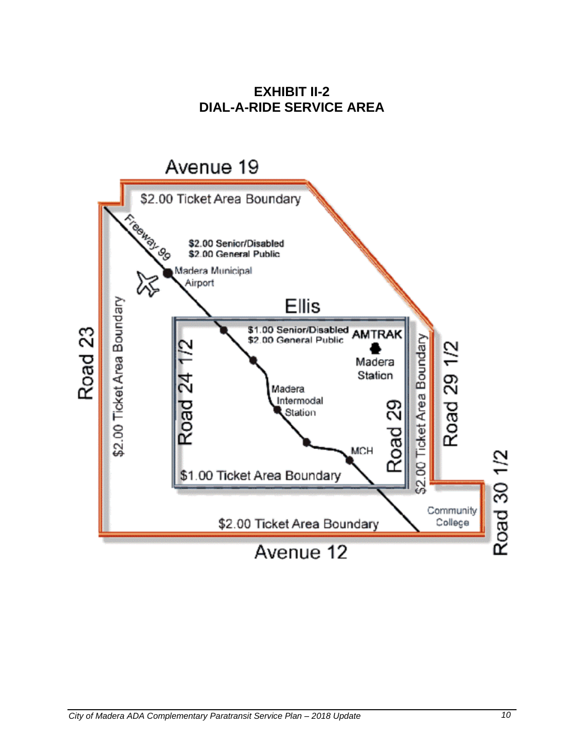**EXHIBIT II-2 DIAL-A-RIDE SERVICE AREA**

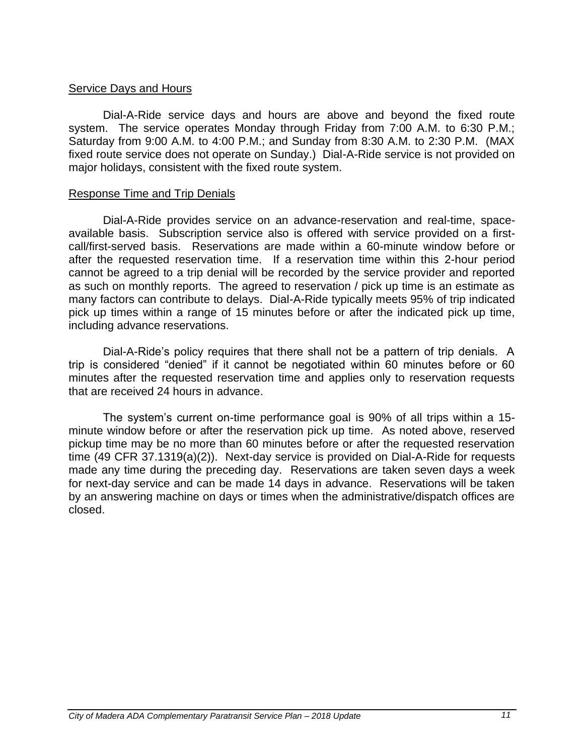#### Service Days and Hours

Dial-A-Ride service days and hours are above and beyond the fixed route system. The service operates Monday through Friday from 7:00 A.M. to 6:30 P.M.; Saturday from 9:00 A.M. to 4:00 P.M.; and Sunday from 8:30 A.M. to 2:30 P.M. (MAX fixed route service does not operate on Sunday.) Dial-A-Ride service is not provided on major holidays, consistent with the fixed route system.

#### Response Time and Trip Denials

Dial-A-Ride provides service on an advance-reservation and real-time, spaceavailable basis. Subscription service also is offered with service provided on a firstcall/first-served basis. Reservations are made within a 60-minute window before or after the requested reservation time. If a reservation time within this 2-hour period cannot be agreed to a trip denial will be recorded by the service provider and reported as such on monthly reports. The agreed to reservation / pick up time is an estimate as many factors can contribute to delays. Dial-A-Ride typically meets 95% of trip indicated pick up times within a range of 15 minutes before or after the indicated pick up time, including advance reservations.

Dial-A-Ride's policy requires that there shall not be a pattern of trip denials. A trip is considered "denied" if it cannot be negotiated within 60 minutes before or 60 minutes after the requested reservation time and applies only to reservation requests that are received 24 hours in advance.

The system's current on-time performance goal is 90% of all trips within a 15 minute window before or after the reservation pick up time. As noted above, reserved pickup time may be no more than 60 minutes before or after the requested reservation time (49 CFR 37.1319(a)(2)). Next-day service is provided on Dial-A-Ride for requests made any time during the preceding day. Reservations are taken seven days a week for next-day service and can be made 14 days in advance. Reservations will be taken by an answering machine on days or times when the administrative/dispatch offices are closed.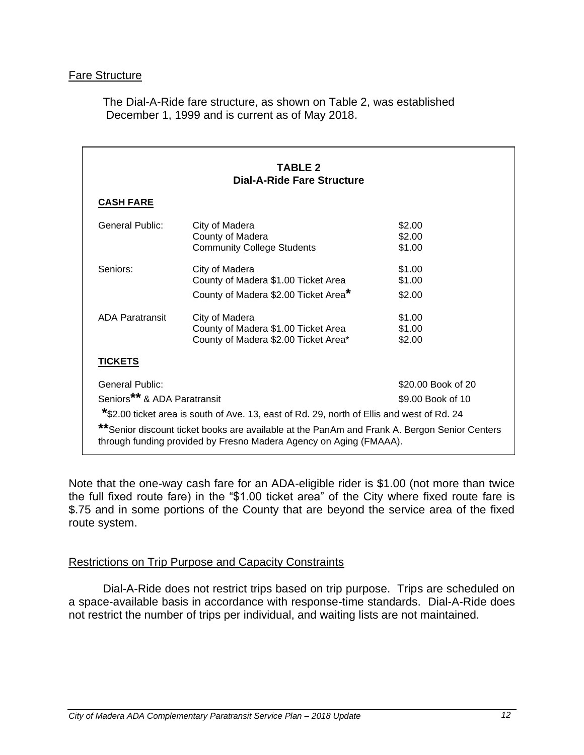# Fare Structure

The Dial-A-Ride fare structure, as shown on Table 2, was established December 1, 1999 and is current as of May 2018.

|                                                                                                                                                                     | <b>TABLE 2</b><br><b>Dial-A-Ride Fare Structure</b>                                        |                    |
|---------------------------------------------------------------------------------------------------------------------------------------------------------------------|--------------------------------------------------------------------------------------------|--------------------|
|                                                                                                                                                                     |                                                                                            |                    |
| <b>CASH FARE</b>                                                                                                                                                    |                                                                                            |                    |
| General Public:                                                                                                                                                     | City of Madera                                                                             | \$2.00             |
|                                                                                                                                                                     | County of Madera                                                                           | \$2.00             |
|                                                                                                                                                                     | <b>Community College Students</b>                                                          | \$1.00             |
| Seniors:                                                                                                                                                            | City of Madera                                                                             | \$1.00             |
|                                                                                                                                                                     | County of Madera \$1.00 Ticket Area                                                        | \$1.00             |
|                                                                                                                                                                     | County of Madera \$2.00 Ticket Area*                                                       | \$2.00             |
| <b>ADA Paratransit</b>                                                                                                                                              | City of Madera                                                                             | \$1.00             |
|                                                                                                                                                                     | County of Madera \$1.00 Ticket Area                                                        | \$1.00             |
|                                                                                                                                                                     | County of Madera \$2.00 Ticket Area*                                                       | \$2.00             |
| <b>TICKETS</b>                                                                                                                                                      |                                                                                            |                    |
| <b>General Public:</b>                                                                                                                                              |                                                                                            | \$20.00 Book of 20 |
| Seniors** & ADA Paratransit                                                                                                                                         |                                                                                            | \$9.00 Book of 10  |
|                                                                                                                                                                     | *\$2.00 ticket area is south of Ave. 13, east of Rd. 29, north of Ellis and west of Rd. 24 |                    |
| ** Senior discount ticket books are available at the PanAm and Frank A. Bergon Senior Centers<br>through funding provided by Fresno Madera Agency on Aging (FMAAA). |                                                                                            |                    |

Note that the one-way cash fare for an ADA-eligible rider is \$1.00 (not more than twice the full fixed route fare) in the "\$1.00 ticket area" of the City where fixed route fare is \$.75 and in some portions of the County that are beyond the service area of the fixed route system.

# Restrictions on Trip Purpose and Capacity Constraints

Dial-A-Ride does not restrict trips based on trip purpose. Trips are scheduled on a space-available basis in accordance with response-time standards. Dial-A-Ride does not restrict the number of trips per individual, and waiting lists are not maintained.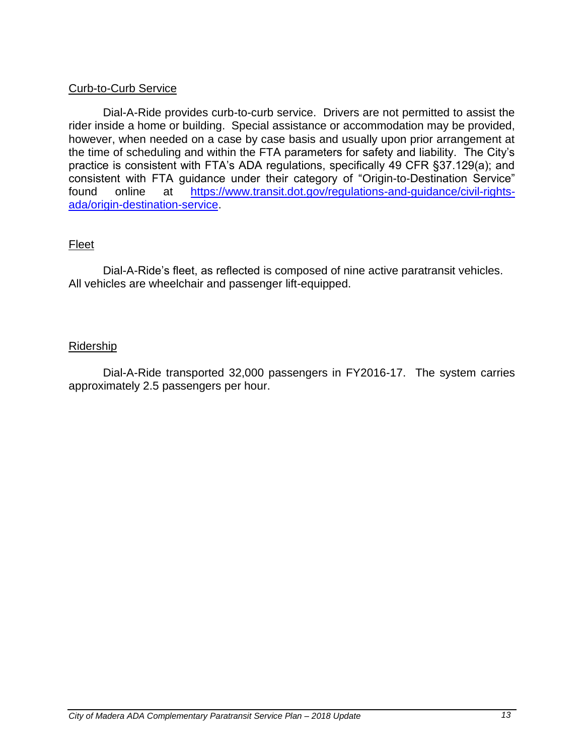# Curb-to-Curb Service

Dial-A-Ride provides curb-to-curb service. Drivers are not permitted to assist the rider inside a home or building. Special assistance or accommodation may be provided, however, when needed on a case by case basis and usually upon prior arrangement at the time of scheduling and within the FTA parameters for safety and liability. The City's practice is consistent with FTA's ADA regulations, specifically 49 CFR §37.129(a); and consistent with FTA guidance under their category of "Origin-to-Destination Service" found online at [https://www.transit.dot.gov/regulations-and-guidance/civil-rights](https://www.transit.dot.gov/regulations-and-guidance/civil-rights-ada/origin-destination-service)[ada/origin-destination-service.](https://www.transit.dot.gov/regulations-and-guidance/civil-rights-ada/origin-destination-service)

# Fleet

Dial-A-Ride's fleet, as reflected is composed of nine active paratransit vehicles. All vehicles are wheelchair and passenger lift-equipped.

#### Ridership

Dial-A-Ride transported 32,000 passengers in FY2016-17. The system carries approximately 2.5 passengers per hour.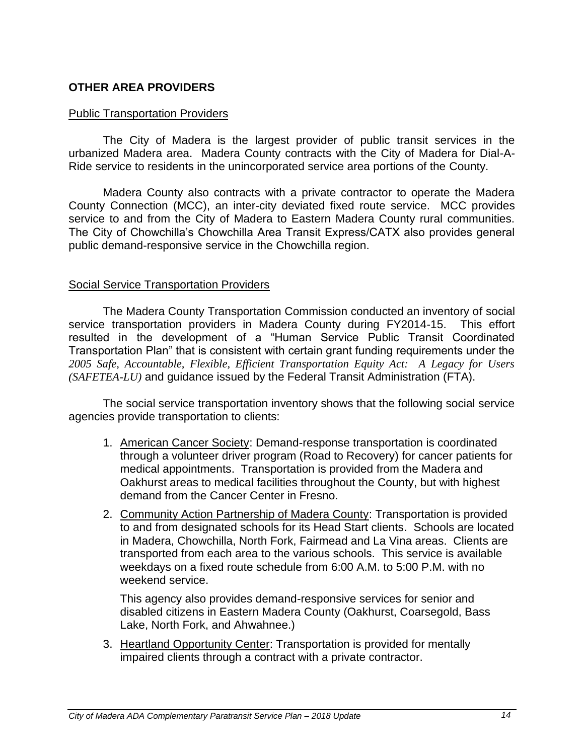# **OTHER AREA PROVIDERS**

#### Public Transportation Providers

The City of Madera is the largest provider of public transit services in the urbanized Madera area. Madera County contracts with the City of Madera for Dial-A-Ride service to residents in the unincorporated service area portions of the County.

Madera County also contracts with a private contractor to operate the Madera County Connection (MCC), an inter-city deviated fixed route service. MCC provides service to and from the City of Madera to Eastern Madera County rural communities. The City of Chowchilla's Chowchilla Area Transit Express/CATX also provides general public demand-responsive service in the Chowchilla region.

#### Social Service Transportation Providers

The Madera County Transportation Commission conducted an inventory of social service transportation providers in Madera County during FY2014-15. This effort resulted in the development of a "Human Service Public Transit Coordinated Transportation Plan" that is consistent with certain grant funding requirements under the *2005 Safe, Accountable, Flexible, Efficient Transportation Equity Act: A Legacy for Users (SAFETEA-LU)* and guidance issued by the Federal Transit Administration (FTA).

The social service transportation inventory shows that the following social service agencies provide transportation to clients:

- 1. American Cancer Society: Demand-response transportation is coordinated through a volunteer driver program (Road to Recovery) for cancer patients for medical appointments. Transportation is provided from the Madera and Oakhurst areas to medical facilities throughout the County, but with highest demand from the Cancer Center in Fresno.
- 2. Community Action Partnership of Madera County: Transportation is provided to and from designated schools for its Head Start clients. Schools are located in Madera, Chowchilla, North Fork, Fairmead and La Vina areas. Clients are transported from each area to the various schools. This service is available weekdays on a fixed route schedule from 6:00 A.M. to 5:00 P.M. with no weekend service.

This agency also provides demand-responsive services for senior and disabled citizens in Eastern Madera County (Oakhurst, Coarsegold, Bass Lake, North Fork, and Ahwahnee.)

3. Heartland Opportunity Center: Transportation is provided for mentally impaired clients through a contract with a private contractor.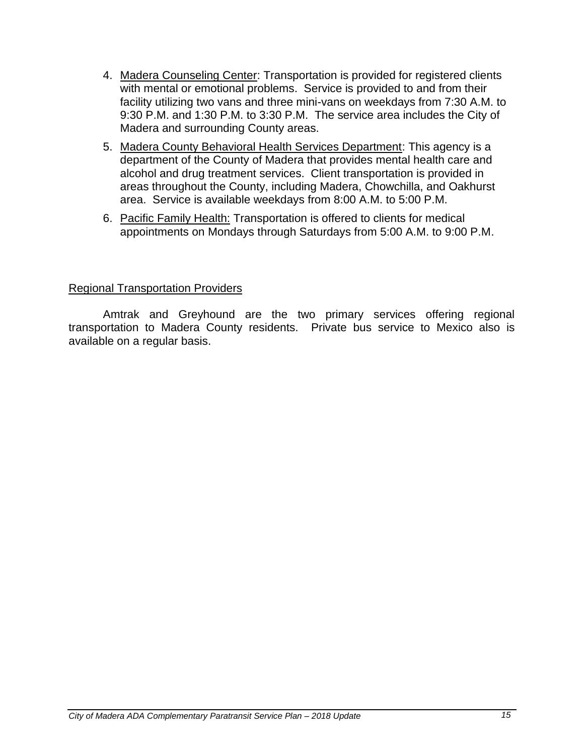- 4. Madera Counseling Center: Transportation is provided for registered clients with mental or emotional problems. Service is provided to and from their facility utilizing two vans and three mini-vans on weekdays from 7:30 A.M. to 9:30 P.M. and 1:30 P.M. to 3:30 P.M. The service area includes the City of Madera and surrounding County areas.
- 5. Madera County Behavioral Health Services Department: This agency is a department of the County of Madera that provides mental health care and alcohol and drug treatment services. Client transportation is provided in areas throughout the County, including Madera, Chowchilla, and Oakhurst area. Service is available weekdays from 8:00 A.M. to 5:00 P.M.
- 6. Pacific Family Health: Transportation is offered to clients for medical appointments on Mondays through Saturdays from 5:00 A.M. to 9:00 P.M.

# Regional Transportation Providers

Amtrak and Greyhound are the two primary services offering regional transportation to Madera County residents. Private bus service to Mexico also is available on a regular basis.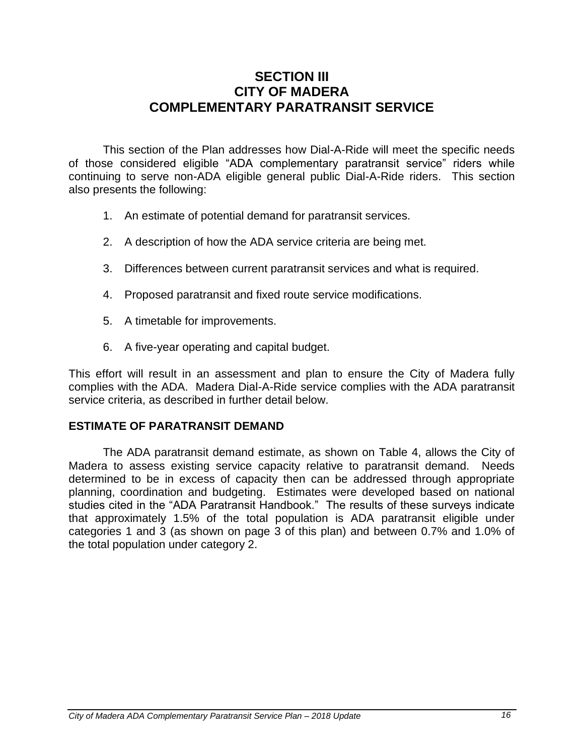# **SECTION III CITY OF MADERA COMPLEMENTARY PARATRANSIT SERVICE**

This section of the Plan addresses how Dial-A-Ride will meet the specific needs of those considered eligible "ADA complementary paratransit service" riders while continuing to serve non-ADA eligible general public Dial-A-Ride riders. This section also presents the following:

- 1. An estimate of potential demand for paratransit services.
- 2. A description of how the ADA service criteria are being met.
- 3. Differences between current paratransit services and what is required.
- 4. Proposed paratransit and fixed route service modifications.
- 5. A timetable for improvements.
- 6. A five-year operating and capital budget.

This effort will result in an assessment and plan to ensure the City of Madera fully complies with the ADA. Madera Dial-A-Ride service complies with the ADA paratransit service criteria, as described in further detail below.

# **ESTIMATE OF PARATRANSIT DEMAND**

The ADA paratransit demand estimate, as shown on Table 4, allows the City of Madera to assess existing service capacity relative to paratransit demand. Needs determined to be in excess of capacity then can be addressed through appropriate planning, coordination and budgeting. Estimates were developed based on national studies cited in the "ADA Paratransit Handbook." The results of these surveys indicate that approximately 1.5% of the total population is ADA paratransit eligible under categories 1 and 3 (as shown on page 3 of this plan) and between 0.7% and 1.0% of the total population under category 2.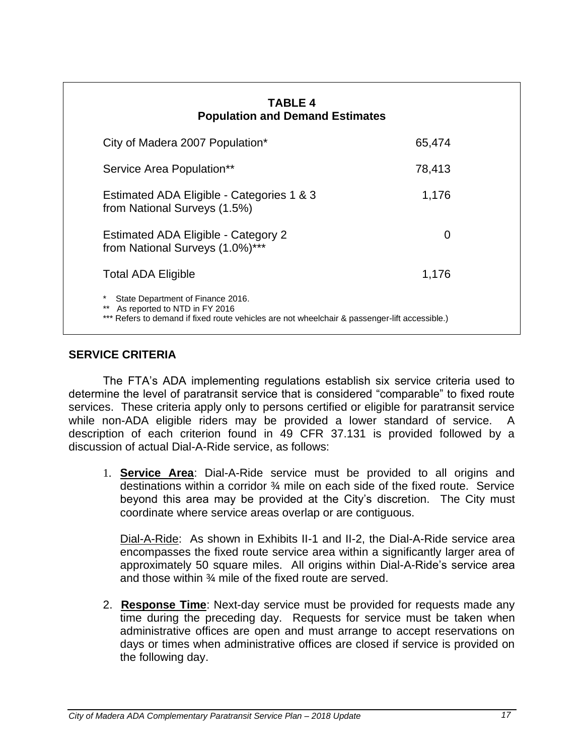| <b>TABLE 4</b><br><b>Population and Demand Estimates</b>                                                                                                                          |        |  |
|-----------------------------------------------------------------------------------------------------------------------------------------------------------------------------------|--------|--|
| City of Madera 2007 Population*                                                                                                                                                   | 65,474 |  |
| Service Area Population**                                                                                                                                                         | 78,413 |  |
| Estimated ADA Eligible - Categories 1 & 3<br>from National Surveys (1.5%)                                                                                                         | 1,176  |  |
| Estimated ADA Eligible - Category 2<br>from National Surveys (1.0%)***                                                                                                            | 0      |  |
| <b>Total ADA Eligible</b>                                                                                                                                                         | 1,176  |  |
| *<br>State Department of Finance 2016.<br>As reported to NTD in FY 2016<br>$***$<br>*** Refers to demand if fixed route vehicles are not wheelchair & passenger-lift accessible.) |        |  |

# **SERVICE CRITERIA**

The FTA's ADA implementing regulations establish six service criteria used to determine the level of paratransit service that is considered "comparable" to fixed route services. These criteria apply only to persons certified or eligible for paratransit service while non-ADA eligible riders may be provided a lower standard of service. A description of each criterion found in 49 CFR 37.131 is provided followed by a discussion of actual Dial-A-Ride service, as follows:

1. **Service Area**: Dial-A-Ride service must be provided to all origins and destinations within a corridor ¾ mile on each side of the fixed route. Service beyond this area may be provided at the City's discretion. The City must coordinate where service areas overlap or are contiguous.

Dial-A-Ride: As shown in Exhibits II-1 and II-2, the Dial-A-Ride service area encompasses the fixed route service area within a significantly larger area of approximately 50 square miles. All origins within Dial-A-Ride's service area and those within ¾ mile of the fixed route are served.

2. **Response Time**: Next-day service must be provided for requests made any time during the preceding day. Requests for service must be taken when administrative offices are open and must arrange to accept reservations on days or times when administrative offices are closed if service is provided on the following day.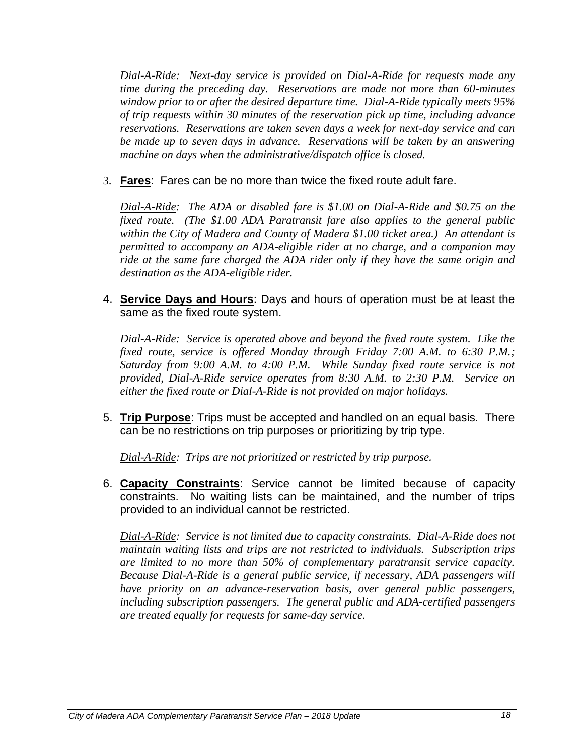*Dial-A-Ride: Next-day service is provided on Dial-A-Ride for requests made any time during the preceding day. Reservations are made not more than 60-minutes window prior to or after the desired departure time. Dial-A-Ride typically meets 95% of trip requests within 30 minutes of the reservation pick up time, including advance reservations. Reservations are taken seven days a week for next-day service and can be made up to seven days in advance. Reservations will be taken by an answering machine on days when the administrative/dispatch office is closed.*

3. **Fares**: Fares can be no more than twice the fixed route adult fare.

*Dial-A-Ride: The ADA or disabled fare is \$1.00 on Dial-A-Ride and \$0.75 on the fixed route. (The \$1.00 ADA Paratransit fare also applies to the general public within the City of Madera and County of Madera \$1.00 ticket area.) An attendant is permitted to accompany an ADA-eligible rider at no charge, and a companion may ride at the same fare charged the ADA rider only if they have the same origin and destination as the ADA-eligible rider.*

4. **Service Days and Hours**: Days and hours of operation must be at least the same as the fixed route system.

*Dial-A-Ride: Service is operated above and beyond the fixed route system. Like the fixed route, service is offered Monday through Friday 7:00 A.M. to 6:30 P.M.; Saturday from 9:00 A.M. to 4:00 P.M. While Sunday fixed route service is not provided, Dial-A-Ride service operates from 8:30 A.M. to 2:30 P.M. Service on either the fixed route or Dial-A-Ride is not provided on major holidays.* 

5. **Trip Purpose**: Trips must be accepted and handled on an equal basis. There can be no restrictions on trip purposes or prioritizing by trip type.

*Dial-A-Ride: Trips are not prioritized or restricted by trip purpose.*

6. **Capacity Constraints**: Service cannot be limited because of capacity constraints. No waiting lists can be maintained, and the number of trips provided to an individual cannot be restricted.

*Dial-A-Ride: Service is not limited due to capacity constraints. Dial-A-Ride does not maintain waiting lists and trips are not restricted to individuals. Subscription trips are limited to no more than 50% of complementary paratransit service capacity. Because Dial-A-Ride is a general public service, if necessary, ADA passengers will have priority on an advance-reservation basis, over general public passengers, including subscription passengers. The general public and ADA-certified passengers are treated equally for requests for same-day service.*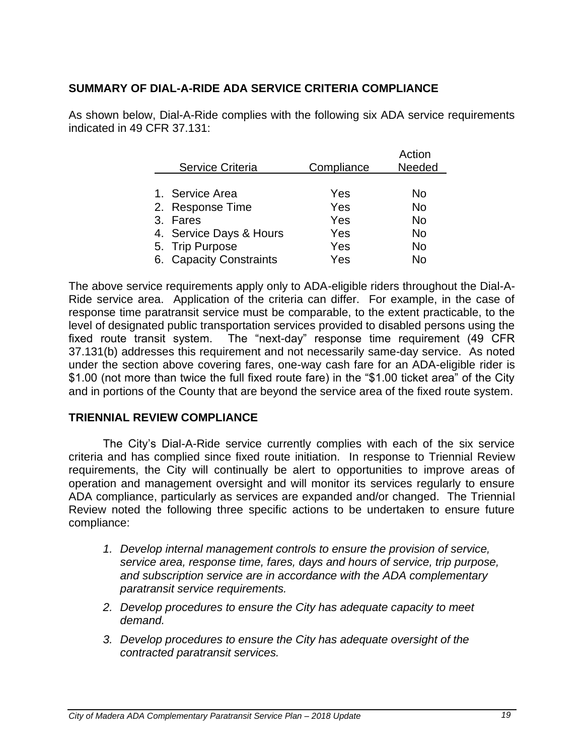# **SUMMARY OF DIAL-A-RIDE ADA SERVICE CRITERIA COMPLIANCE**

As shown below, Dial-A-Ride complies with the following six ADA service requirements indicated in 49 CFR 37.131:

|                         |            | Action |
|-------------------------|------------|--------|
| <b>Service Criteria</b> | Compliance | Needed |
|                         |            |        |
| 1. Service Area         | Yes        | No.    |
| 2. Response Time        | Yes        | No.    |
| 3. Fares                | Yes        | No.    |
| 4. Service Days & Hours | Yes        | No     |
| 5. Trip Purpose         | Yes        | No     |
| 6. Capacity Constraints | Yes        | No     |

The above service requirements apply only to ADA-eligible riders throughout the Dial-A-Ride service area. Application of the criteria can differ. For example, in the case of response time paratransit service must be comparable, to the extent practicable, to the level of designated public transportation services provided to disabled persons using the fixed route transit system. The "next-day" response time requirement (49 CFR 37.131(b) addresses this requirement and not necessarily same-day service. As noted under the section above covering fares, one-way cash fare for an ADA-eligible rider is \$1.00 (not more than twice the full fixed route fare) in the "\$1.00 ticket area" of the City and in portions of the County that are beyond the service area of the fixed route system.

# **TRIENNIAL REVIEW COMPLIANCE**

The City's Dial-A-Ride service currently complies with each of the six service criteria and has complied since fixed route initiation. In response to Triennial Review requirements, the City will continually be alert to opportunities to improve areas of operation and management oversight and will monitor its services regularly to ensure ADA compliance, particularly as services are expanded and/or changed. The Triennial Review noted the following three specific actions to be undertaken to ensure future compliance:

- *1. Develop internal management controls to ensure the provision of service, service area, response time, fares, days and hours of service, trip purpose, and subscription service are in accordance with the ADA complementary paratransit service requirements.*
- *2. Develop procedures to ensure the City has adequate capacity to meet demand.*
- *3. Develop procedures to ensure the City has adequate oversight of the contracted paratransit services.*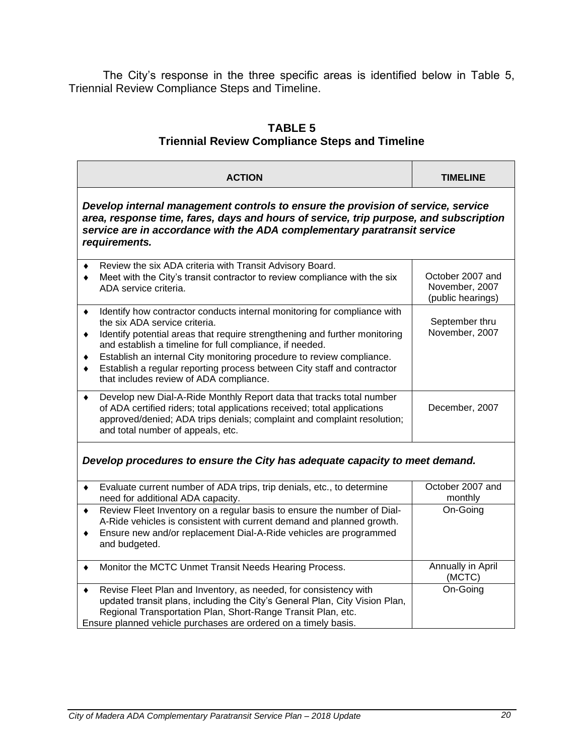The City's response in the three specific areas is identified below in Table 5, Triennial Review Compliance Steps and Timeline.

# **TABLE 5 Triennial Review Compliance Steps and Timeline**

|                  | <b>ACTION</b>                                                                                                                                                                                                                                                                                                                                                                                                                                      | <b>TIMELINE</b>                                         |
|------------------|----------------------------------------------------------------------------------------------------------------------------------------------------------------------------------------------------------------------------------------------------------------------------------------------------------------------------------------------------------------------------------------------------------------------------------------------------|---------------------------------------------------------|
|                  | Develop internal management controls to ensure the provision of service, service<br>area, response time, fares, days and hours of service, trip purpose, and subscription<br>service are in accordance with the ADA complementary paratransit service<br>requirements.                                                                                                                                                                             |                                                         |
| ٠<br>٠           | Review the six ADA criteria with Transit Advisory Board.<br>Meet with the City's transit contractor to review compliance with the six<br>ADA service criteria.                                                                                                                                                                                                                                                                                     | October 2007 and<br>November, 2007<br>(public hearings) |
| ٠<br>٠<br>٠<br>٠ | Identify how contractor conducts internal monitoring for compliance with<br>the six ADA service criteria.<br>Identify potential areas that require strengthening and further monitoring<br>and establish a timeline for full compliance, if needed.<br>Establish an internal City monitoring procedure to review compliance.<br>Establish a regular reporting process between City staff and contractor<br>that includes review of ADA compliance. | September thru<br>November, 2007                        |
| ٠                | Develop new Dial-A-Ride Monthly Report data that tracks total number<br>of ADA certified riders; total applications received; total applications<br>approved/denied; ADA trips denials; complaint and complaint resolution;<br>and total number of appeals, etc.                                                                                                                                                                                   | December, 2007                                          |
|                  | Develop procedures to ensure the City has adequate capacity to meet demand.                                                                                                                                                                                                                                                                                                                                                                        |                                                         |
| ٠                | Evaluate current number of ADA trips, trip denials, etc., to determine<br>need for additional ADA capacity.                                                                                                                                                                                                                                                                                                                                        | October 2007 and<br>monthly                             |
| $\bullet$<br>٠   | Review Fleet Inventory on a regular basis to ensure the number of Dial-<br>A-Ride vehicles is consistent with current demand and planned growth.<br>Ensure new and/or replacement Dial-A-Ride vehicles are programmed<br>and budgeted.                                                                                                                                                                                                             | On-Going                                                |
| ٠                | Monitor the MCTC Unmet Transit Needs Hearing Process.                                                                                                                                                                                                                                                                                                                                                                                              | Annually in April<br>(MCTC)                             |
| ٠                | Revise Fleet Plan and Inventory, as needed, for consistency with<br>updated transit plans, including the City's General Plan, City Vision Plan,<br>Regional Transportation Plan, Short-Range Transit Plan, etc.<br>Ensure planned vehicle purchases are ordered on a timely basis.                                                                                                                                                                 | On-Going                                                |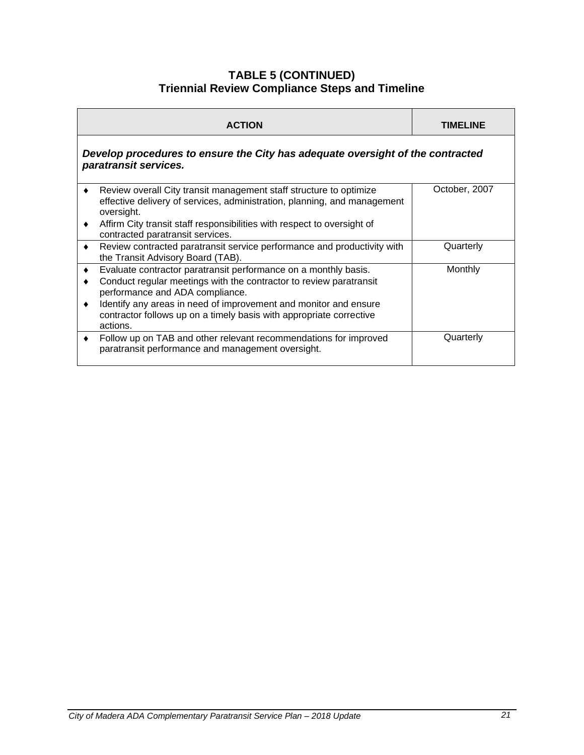#### **TABLE 5 (CONTINUED) Triennial Review Compliance Steps and Timeline**

| <b>ACTION</b>                                                                                                                                                                                                                                                                                                                   | TIMELINE      |
|---------------------------------------------------------------------------------------------------------------------------------------------------------------------------------------------------------------------------------------------------------------------------------------------------------------------------------|---------------|
| Develop procedures to ensure the City has adequate oversight of the contracted<br>paratransit services.                                                                                                                                                                                                                         |               |
| Review overall City transit management staff structure to optimize<br>effective delivery of services, administration, planning, and management<br>oversight.<br>Affirm City transit staff responsibilities with respect to oversight of<br>contracted paratransit services.                                                     | October, 2007 |
| Review contracted paratransit service performance and productivity with<br>$\bullet$<br>the Transit Advisory Board (TAB).                                                                                                                                                                                                       | Quarterly     |
| Evaluate contractor paratransit performance on a monthly basis.<br>Conduct regular meetings with the contractor to review paratransit<br>performance and ADA compliance.<br>Identify any areas in need of improvement and monitor and ensure<br>contractor follows up on a timely basis with appropriate corrective<br>actions. | Monthly       |
| Follow up on TAB and other relevant recommendations for improved<br>$\bullet$<br>paratransit performance and management oversight.                                                                                                                                                                                              | Quarterly     |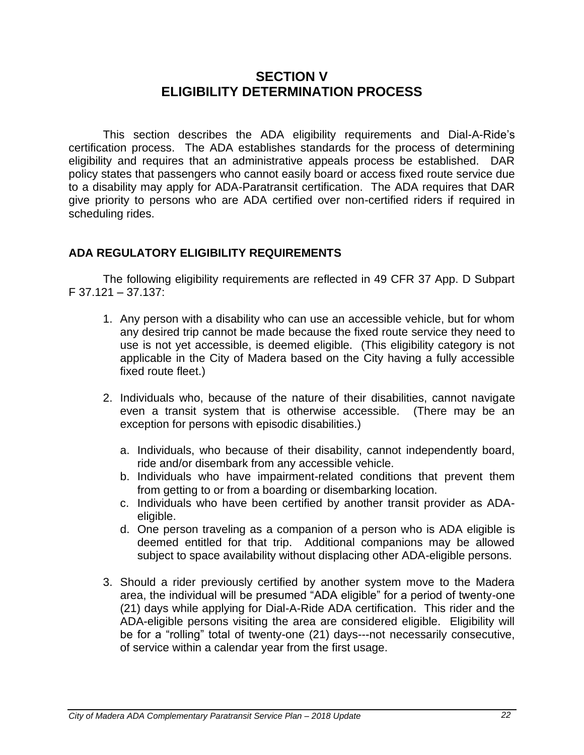# **SECTION V ELIGIBILITY DETERMINATION PROCESS**

This section describes the ADA eligibility requirements and Dial-A-Ride's certification process. The ADA establishes standards for the process of determining eligibility and requires that an administrative appeals process be established. DAR policy states that passengers who cannot easily board or access fixed route service due to a disability may apply for ADA-Paratransit certification. The ADA requires that DAR give priority to persons who are ADA certified over non-certified riders if required in scheduling rides.

# **ADA REGULATORY ELIGIBILITY REQUIREMENTS**

The following eligibility requirements are reflected in 49 CFR 37 App. D Subpart F 37.121 – 37.137:

- 1. Any person with a disability who can use an accessible vehicle, but for whom any desired trip cannot be made because the fixed route service they need to use is not yet accessible, is deemed eligible. (This eligibility category is not applicable in the City of Madera based on the City having a fully accessible fixed route fleet.)
- 2. Individuals who, because of the nature of their disabilities, cannot navigate even a transit system that is otherwise accessible. (There may be an exception for persons with episodic disabilities.)
	- a. Individuals, who because of their disability, cannot independently board, ride and/or disembark from any accessible vehicle.
	- b. Individuals who have impairment-related conditions that prevent them from getting to or from a boarding or disembarking location.
	- c. Individuals who have been certified by another transit provider as ADAeligible.
	- d. One person traveling as a companion of a person who is ADA eligible is deemed entitled for that trip. Additional companions may be allowed subject to space availability without displacing other ADA-eligible persons.
- 3. Should a rider previously certified by another system move to the Madera area, the individual will be presumed "ADA eligible" for a period of twenty-one (21) days while applying for Dial-A-Ride ADA certification. This rider and the ADA-eligible persons visiting the area are considered eligible. Eligibility will be for a "rolling" total of twenty-one (21) days---not necessarily consecutive, of service within a calendar year from the first usage.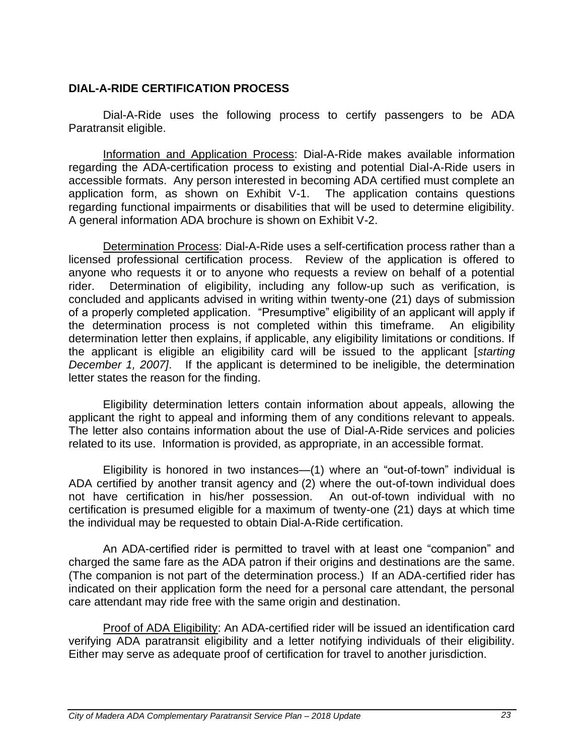# **DIAL-A-RIDE CERTIFICATION PROCESS**

Dial-A-Ride uses the following process to certify passengers to be ADA Paratransit eligible.

Information and Application Process: Dial-A-Ride makes available information regarding the ADA-certification process to existing and potential Dial-A-Ride users in accessible formats. Any person interested in becoming ADA certified must complete an application form, as shown on Exhibit V-1. The application contains questions regarding functional impairments or disabilities that will be used to determine eligibility. A general information ADA brochure is shown on Exhibit V-2.

Determination Process: Dial-A-Ride uses a self-certification process rather than a licensed professional certification process. Review of the application is offered to anyone who requests it or to anyone who requests a review on behalf of a potential rider. Determination of eligibility, including any follow-up such as verification, is concluded and applicants advised in writing within twenty-one (21) days of submission of a properly completed application. "Presumptive" eligibility of an applicant will apply if the determination process is not completed within this timeframe. An eligibility determination letter then explains, if applicable, any eligibility limitations or conditions. If the applicant is eligible an eligibility card will be issued to the applicant [*starting December 1, 2007]*. If the applicant is determined to be ineligible, the determination letter states the reason for the finding.

Eligibility determination letters contain information about appeals, allowing the applicant the right to appeal and informing them of any conditions relevant to appeals. The letter also contains information about the use of Dial-A-Ride services and policies related to its use. Information is provided, as appropriate, in an accessible format.

Eligibility is honored in two instances—(1) where an "out-of-town" individual is ADA certified by another transit agency and (2) where the out-of-town individual does not have certification in his/her possession. An out-of-town individual with no certification is presumed eligible for a maximum of twenty-one (21) days at which time the individual may be requested to obtain Dial-A-Ride certification.

An ADA-certified rider is permitted to travel with at least one "companion" and charged the same fare as the ADA patron if their origins and destinations are the same. (The companion is not part of the determination process.) If an ADA-certified rider has indicated on their application form the need for a personal care attendant, the personal care attendant may ride free with the same origin and destination.

Proof of ADA Eligibility: An ADA-certified rider will be issued an identification card verifying ADA paratransit eligibility and a letter notifying individuals of their eligibility. Either may serve as adequate proof of certification for travel to another jurisdiction.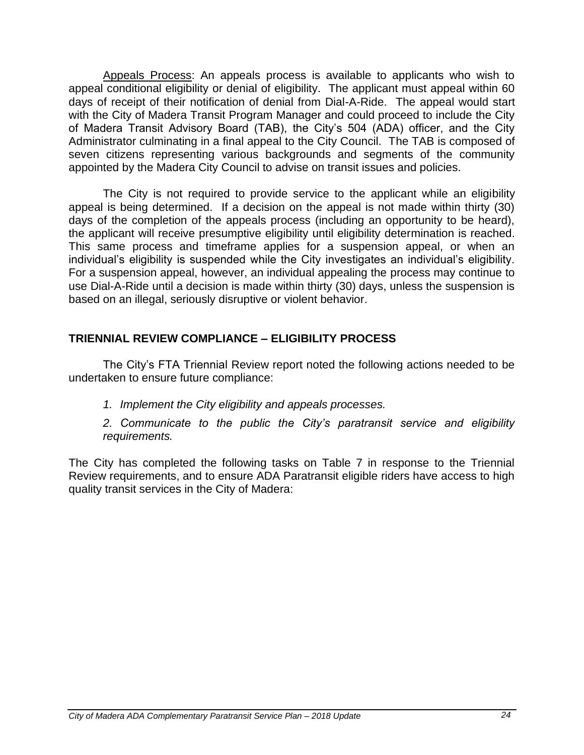Appeals Process: An appeals process is available to applicants who wish to appeal conditional eligibility or denial of eligibility. The applicant must appeal within 60 days of receipt of their notification of denial from Dial-A-Ride. The appeal would start with the City of Madera Transit Program Manager and could proceed to include the City of Madera Transit Advisory Board (TAB), the City's 504 (ADA) officer, and the City Administrator culminating in a final appeal to the City Council. The TAB is composed of seven citizens representing various backgrounds and segments of the community appointed by the Madera City Council to advise on transit issues and policies.

The City is not required to provide service to the applicant while an eligibility appeal is being determined. If a decision on the appeal is not made within thirty (30) days of the completion of the appeals process (including an opportunity to be heard), the applicant will receive presumptive eligibility until eligibility determination is reached. This same process and timeframe applies for a suspension appeal, or when an individual's eligibility is suspended while the City investigates an individual's eligibility. For a suspension appeal, however, an individual appealing the process may continue to use Dial-A-Ride until a decision is made within thirty (30) days, unless the suspension is based on an illegal, seriously disruptive or violent behavior.

# **TRIENNIAL REVIEW COMPLIANCE – ELIGIBILITY PROCESS**

The City's FTA Triennial Review report noted the following actions needed to be undertaken to ensure future compliance:

*1. Implement the City eligibility and appeals processes.*

*2. Communicate to the public the City's paratransit service and eligibility requirements.*

The City has completed the following tasks on Table 7 in response to the Triennial Review requirements, and to ensure ADA Paratransit eligible riders have access to high quality transit services in the City of Madera: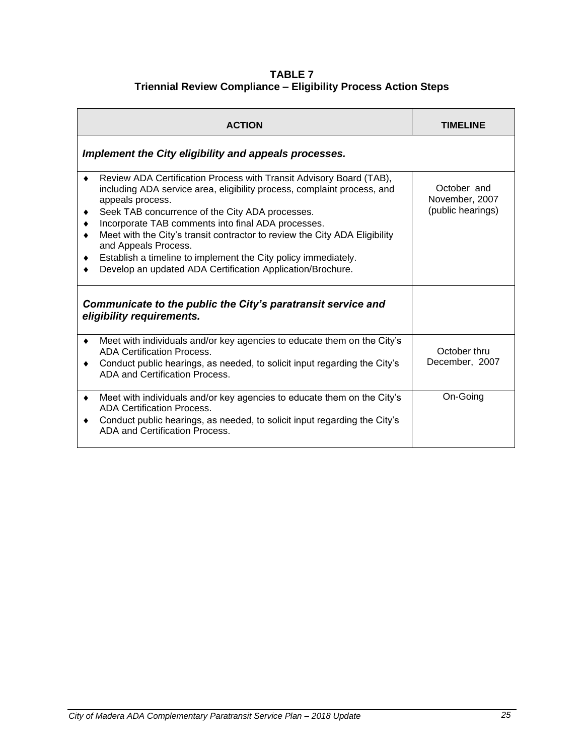#### **TABLE 7 Triennial Review Compliance – Eligibility Process Action Steps**

| <b>ACTION</b>                                                                                                                                                                                                                                                                                                                                                                                                                                                                                                                         | <b>TIMELINE</b>                                    |
|---------------------------------------------------------------------------------------------------------------------------------------------------------------------------------------------------------------------------------------------------------------------------------------------------------------------------------------------------------------------------------------------------------------------------------------------------------------------------------------------------------------------------------------|----------------------------------------------------|
| Implement the City eligibility and appeals processes.                                                                                                                                                                                                                                                                                                                                                                                                                                                                                 |                                                    |
| Review ADA Certification Process with Transit Advisory Board (TAB),<br>٠<br>including ADA service area, eligibility process, complaint process, and<br>appeals process.<br>Seek TAB concurrence of the City ADA processes.<br>٠<br>Incorporate TAB comments into final ADA processes.<br>Meet with the City's transit contractor to review the City ADA Eligibility<br>٠<br>and Appeals Process.<br>Establish a timeline to implement the City policy immediately.<br>٠<br>Develop an updated ADA Certification Application/Brochure. | October and<br>November, 2007<br>(public hearings) |
| Communicate to the public the City's paratransit service and<br>eligibility requirements.                                                                                                                                                                                                                                                                                                                                                                                                                                             |                                                    |
| Meet with individuals and/or key agencies to educate them on the City's<br>$\bullet$<br><b>ADA Certification Process.</b><br>Conduct public hearings, as needed, to solicit input regarding the City's<br>٠<br>ADA and Certification Process.                                                                                                                                                                                                                                                                                         | October thru<br>December, 2007                     |
| Meet with individuals and/or key agencies to educate them on the City's<br>٠<br><b>ADA Certification Process.</b><br>Conduct public hearings, as needed, to solicit input regarding the City's<br>٠<br>ADA and Certification Process.                                                                                                                                                                                                                                                                                                 | On-Going                                           |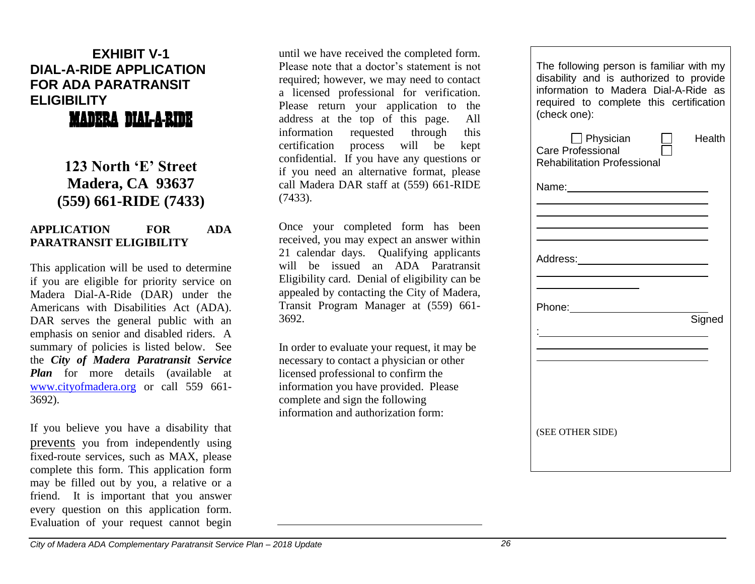# **EXHIBIT V-1 DIAL-A-RIDE APPLICATION FOR ADA PARATRANSIT ELIGIBILITY**

MADERA DIAL-A-RIDE

**123 North 'E' Street Madera, CA 93637 (559) 661-RIDE (7433)**

#### **APPLICATION FOR ADA PARATRANSIT ELIGIBILITY**

This application will be used to determine if you are eligible for priority service on Madera Dial-A-Ride (DAR) under the Americans with Disabilities Act (ADA). DAR serves the general public with an emphasis on senior and disabled riders. A summary of policies is listed below. See the *City of Madera Paratransit Service Plan* for more details (available at [www.cityofmadera.org](http://www.cityofmadera.org/) or call 559 661- 3692).

If you believe you have a disability that prevents you from independently using fixed-route services, such as MAX, please complete this form. This application form may be filled out by you, a relative or a friend. It is important that you answer every question on this application form. Evaluation of your request cannot begin

until we have received the completed form. Please note that a doctor's statement is not required; however, we may need to contact a licensed professional for verification. Please return your application to the address at the top of this page. All information requested through this certification process will be kept confidential. If you have any questions or if you need an alternative format, please call Madera DAR staff at (559) 661-RIDE (7433).

Once your completed form has been received, you may expect an answer within 21 calendar days. Qualifying applicants will be issued an ADA Paratransit Eligibility card. Denial of eligibility can be appealed by contacting the City of Madera, Transit Program Manager at (559) 661- 3692.

In order to evaluate your request, it may be necessary to contact a physician or other licensed professional to confirm the information you have provided. Please complete and sign the following information and authorization form:

| The following person is familiar with my<br>disability and is authorized to provide<br>information to Madera Dial-A-Ride as<br>required to complete this certification<br>(check one): |        |
|----------------------------------------------------------------------------------------------------------------------------------------------------------------------------------------|--------|
| $\Box$ Physician<br><b>Care Professional</b><br><b>Rehabilitation Professional</b>                                                                                                     | Health |
| Name: __________________________                                                                                                                                                       |        |
|                                                                                                                                                                                        |        |
| Address:____________________________                                                                                                                                                   |        |
|                                                                                                                                                                                        |        |
|                                                                                                                                                                                        | Signed |
|                                                                                                                                                                                        |        |
|                                                                                                                                                                                        |        |
| (SEE OTHER SIDE)                                                                                                                                                                       |        |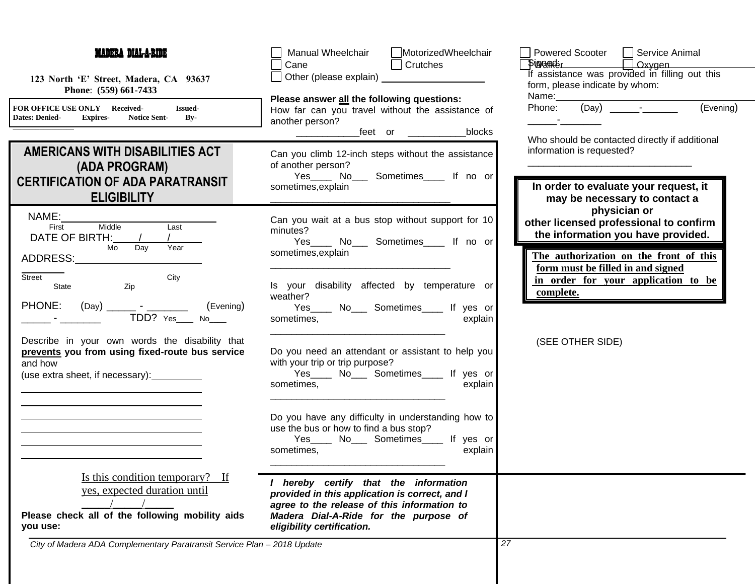| <b>MADERA DIAL-A-RIDE</b>                                                                                                                        | MotorizedWheelchair<br>Manual Wheelchair<br>$\Box$ Crutches<br>Cane                                                                                                                                           | □ Service Animal<br>Powered Scooter<br>$\Box$ Oxygen<br><b>Signafiker</b>                                                                                                   |  |
|--------------------------------------------------------------------------------------------------------------------------------------------------|---------------------------------------------------------------------------------------------------------------------------------------------------------------------------------------------------------------|-----------------------------------------------------------------------------------------------------------------------------------------------------------------------------|--|
| 123 North 'E' Street, Madera, CA 93637<br>Phone: (559) 661-7433                                                                                  | Other (please explain) <u>contained</u><br>Please answer all the following questions:                                                                                                                         | If assistance was provided in filling out this<br>form, please indicate by whom:<br>Name:________________                                                                   |  |
| FOR OFFICE USE ONLY Received-<br><b>Issued-</b><br><b>Dates: Denied-</b><br><b>Notice Sent-</b><br>$\mathbf{By}$<br><b>Expires-</b>              | How far can you travel without the assistance of<br>another person?<br>blocks<br>_feet or ___________                                                                                                         | (Evening)<br>Phone:                                                                                                                                                         |  |
| AMERICANS WITH DISABILITIES ACT<br>(ADA PROGRAM)<br><b>CERTIFICATION OF ADA PARATRANSIT</b><br><b>ELIGIBILITY</b>                                | Can you climb 12-inch steps without the assistance<br>of another person?<br>Yes_____ No____ Sometimes_____ If no or<br>sometimes, explain                                                                     | Who should be contacted directly if additional<br>information is requested?<br>In order to evaluate your request, it<br>may be necessary to contact a                       |  |
| Middle<br>Last<br>First<br>DATE OF BIRTH: /<br>Mo<br>Year<br>$\overline{$ Day<br>ADDRESS:                                                        | Can you wait at a bus stop without support for 10<br>minutes?<br>Yes_____ No____ Sometimes_____ If no or<br>sometimes, explain                                                                                | physician or<br>other licensed professional to confirm<br>the information you have provided.<br>The authorization on the front of this<br>form must be filled in and signed |  |
| City<br>Street<br>Zip<br>State<br>PHONE:<br>(Evening)<br>$(Day)$ __<br>__ - ______<br>$TDD?$ $Yes$ $No$ $No$                                     | Is your disability affected by temperature or<br>weather?<br>Yes____ No___ Sometimes____ If yes or<br>sometimes,<br>explain                                                                                   | in order for your application to be<br>complete.                                                                                                                            |  |
| Describe in your own words the disability that<br>prevents you from using fixed-route bus service<br>and how<br>(use extra sheet, if necessary): | Do you need an attendant or assistant to help you<br>with your trip or trip purpose?<br>Yes____ No___ Sometimes____ If yes or<br>explain<br>sometimes,                                                        | (SEE OTHER SIDE)                                                                                                                                                            |  |
|                                                                                                                                                  | Do you have any difficulty in understanding how to<br>use the bus or how to find a bus stop?<br>Yes____ No___ Sometimes____ If yes or<br>explain<br>sometimes,                                                |                                                                                                                                                                             |  |
| Is this condition temporary? If<br>yes, expected duration until<br>Please check all of the following mobility aids<br>you use:                   | I hereby certify that the information<br>provided in this application is correct, and I<br>agree to the release of this information to<br>Madera Dial-A-Ride for the purpose of<br>eligibility certification. |                                                                                                                                                                             |  |
| City of Madera ADA Complementary Paratransit Service Plan - 2018 Update                                                                          |                                                                                                                                                                                                               | 27                                                                                                                                                                          |  |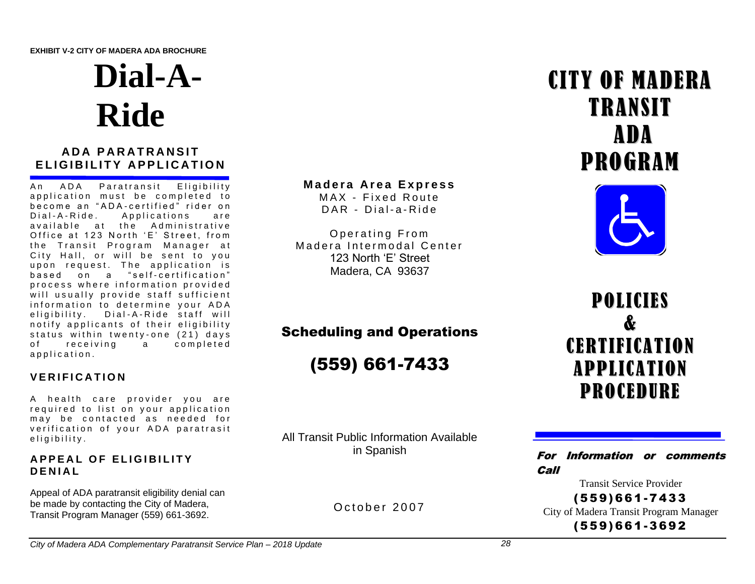**EXHIBIT V-2 CITY OF MADERA ADA BROCHURE**

# **Dial-A-Ride**

# **ADA PARATRANSIT ELIGIBILITY APPLICATION**

An ADA Paratransit Eligibility application must be completed to become an "ADA-certified" rider on<br>Dial-A-Ride. Applications are A p p lications are available at the Administrative Office at 123 North 'E' Street, from the Transit Program Manager at City Hall, or will be sent to you upon request. The application is based on a " self-certification" process where information provided will usually provide staff sufficient information to determine your ADA e li gibility. Dial-A-Ride staff will notify applicants of their eligibility status within twenty-one (21) days of receiving a completed a p p lication.

# **V E R I F I C A T I O N**

A health care provider you are required to list on your application may be contacted as needed for verification of your ADA paratrasit e ligibility.

#### **APPEAL OF ELIGIBILITY D E N I A L**

Appeal of ADA paratransit eligibility denial can be made by contacting the City of Madera, Transit Program Manager (559) 661-3692.

#### **M a d e r a A r e a E x p r e s s**

MAX - Fixed Route  $DAR - Di$ al-a-Ride

Operating From Madera Intermodal Center 123 North 'E' Street Madera, CA 93637

# Scheduling and Operations

(559) 661-7433

All Transit Public Information Available in Spanish

October 2007

# CITY OF MADERA TRANSIT ADA PROGRAM



**POLICIES** & **CERTIFICATION** APPLICATION PROCEDURE

For Information or comments Call

Transit Service Provider ( 55 9) 661 - 743 3 City of Madera Transit Program Manager

( 55 9) 661 - 369 2

*City of Madera ADA Complementary Paratransit Service Plan – 2018 Update 28*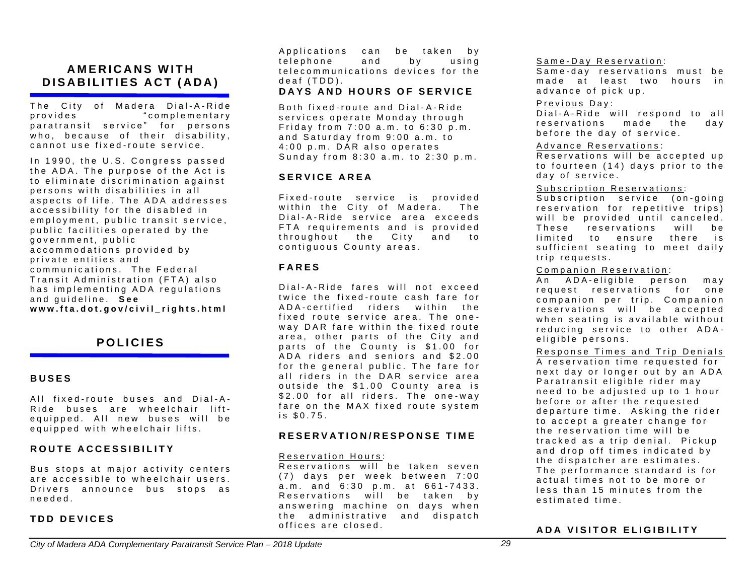# **A M E R I C A N S W I T H D I S A B I L I T I E S A C T ( A D A )**

The City of Madera Dial-A-Ride p r o vides to m b i complementary paratransit service" for persons who, because of their disability, cannot use fixed-route service.

In 1990, the U.S. Congress passed the ADA. The purpose of the Act is to eliminate discrimination against persons with disabilities in all aspects of life. The ADA addresses accessibility for the disabled in employment, public transit service, public facilities operated by the government, public accommodations provided by private entities and communications. The Federal Transit Administration (FTA) also has implementing ADA regulations and quideline. See www.fta.dot.gov/civil rights.html

# **P O L I C I E S**

#### **B U S E S**

All fixed-route buses and Dial-A-Ride buses are wheelchair liftequipped. All new buses will be equipped with wheelchair lifts.

#### **R O U T E A C C E S S I B I L I T Y**

Bus stops at maior activity centers are accessible to wheelchair users. Drivers announce bus stops as n e e d e d .

#### **TDD DEVICES**

Applications can be taken by telephone and by using telecommunications devices for the deaf (TDD).

#### **DAYS AND HOURS OF SERVICE**

Both fixed-route and Dial-A-Ride services operate Monday through Friday from  $7:00$  a.m. to  $6:30$  p.m. and Saturday from 9:00 a.m. to  $4:00$  p.m. DAR also operates Sunday from 8:30 a.m. to 2:30 p.m.

#### **S E R V I C E A R E A**

Fixed-route service is provided within the City of Madera. The Dial-A-Ride service area exceeds FTA requirements and is provided throughout the City and to contiquous County areas.

#### **F A R E S**

Dial-A-Ride fares will not exceed twice the fixed-route cash fare for A D A - c ertified riders within the fixed route service area. The oneway DAR fare within the fixed route area, other parts of the City and parts of the County is \$1.00 for ADA riders and seniors and \$2.00 for the general public. The fare for all riders in the DAR service area outside the \$1.00 County area is \$2.00 for all riders. The one-way fare on the MAX fixed route system  $is$  \$0.75.

#### **R E S E R V A T I O N / R E S P O N S E T I M E**

#### Reservation Hours:

Reservations will be taken seven  $(7)$  days per week between  $7:00$  $a.m.$  and  $6:30$  p.m. at  $661-7433$ . Reservations will be taken by answering machine on days when the administrative and dispatch offices are closed.

#### Same-Day Reservation:

Same-day reservations must be made at least two hours in advance of pick up.

#### Previous Day:

 $\overline{Dial-A-R}$  ide will respond to all reservations made the day before the day of service.

#### Advance Reservations:

Reservations will be accepted up to fourteen (14) days prior to the day of service.

#### Subscription Reservations:

Subscription service (on-going reservation for repetitive trips) will be provided until canceled. These reservations will be limited to ensure there is sufficient seating to meet daily trip requests.

#### Companion Reservation:

An ADA-eligible person may request reservations for one companion per trip. Companion reservations will be accepted when seating is available without reducing service to other ADAeligible persons.

#### Response Times and Trip Denials

A reservation time requested for next day or longer out by an ADA Paratransit eligible rider may need to be adjusted up to 1 hour before or after the requested departure time. Asking the rider to accept a greater change for the reservation time will be tracked as a trip denial. Pickup and drop off times indicated by the dispatcher are estimates. The performance standard is for actual times not to be more or less than 15 minutes from the estimated time.

#### **ADA VISITOR ELIGIBILITY**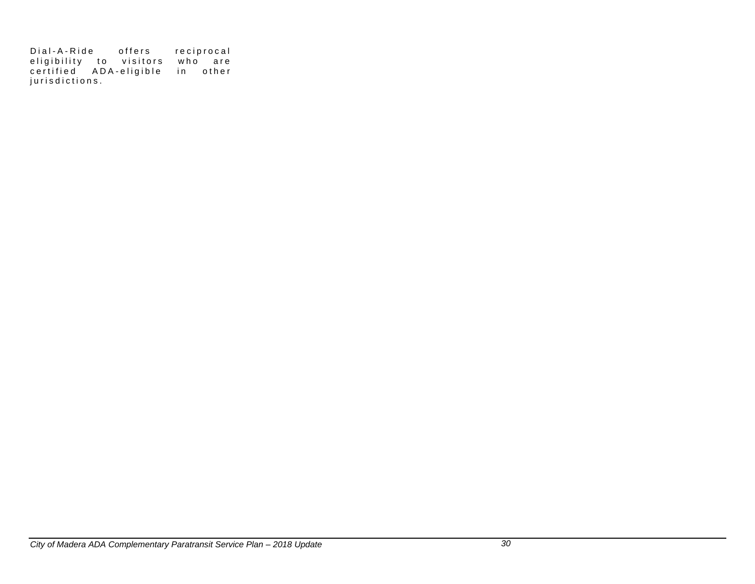Dial-A-Ride offers reciprocal eligibility to visitors who are certified ADA-eligible in other j u r i s d i c t i o n s .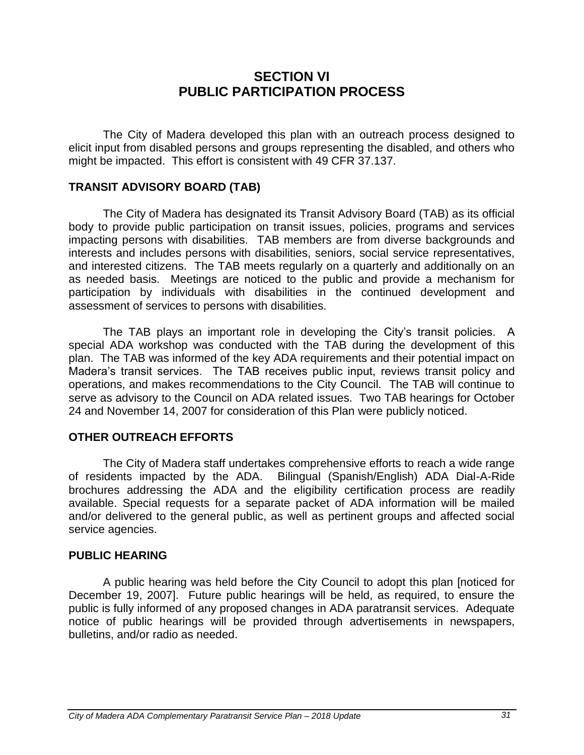# **SECTION VI PUBLIC PARTICIPATION PROCESS**

The City of Madera developed this plan with an outreach process designed to elicit input from disabled persons and groups representing the disabled, and others who might be impacted. This effort is consistent with 49 CFR 37.137.

# **TRANSIT ADVISORY BOARD (TAB)**

The City of Madera has designated its Transit Advisory Board (TAB) as its official body to provide public participation on transit issues, policies, programs and services impacting persons with disabilities. TAB members are from diverse backgrounds and interests and includes persons with disabilities, seniors, social service representatives, and interested citizens. The TAB meets regularly on a quarterly and additionally on an as needed basis. Meetings are noticed to the public and provide a mechanism for participation by individuals with disabilities in the continued development and assessment of services to persons with disabilities.

The TAB plays an important role in developing the City's transit policies. A special ADA workshop was conducted with the TAB during the development of this plan. The TAB was informed of the key ADA requirements and their potential impact on Madera's transit services. The TAB receives public input, reviews transit policy and operations, and makes recommendations to the City Council. The TAB will continue to serve as advisory to the Council on ADA related issues. Two TAB hearings for October 24 and November 14, 2007 for consideration of this Plan were publicly noticed.

# **OTHER OUTREACH EFFORTS**

The City of Madera staff undertakes comprehensive efforts to reach a wide range of residents impacted by the ADA. Bilingual (Spanish/English) ADA Dial-A-Ride brochures addressing the ADA and the eligibility certification process are readily available. Special requests for a separate packet of ADA information will be mailed and/or delivered to the general public, as well as pertinent groups and affected social service agencies.

# **PUBLIC HEARING**

A public hearing was held before the City Council to adopt this plan [noticed for December 19, 2007]. Future public hearings will be held, as required, to ensure the public is fully informed of any proposed changes in ADA paratransit services. Adequate notice of public hearings will be provided through advertisements in newspapers, bulletins, and/or radio as needed.